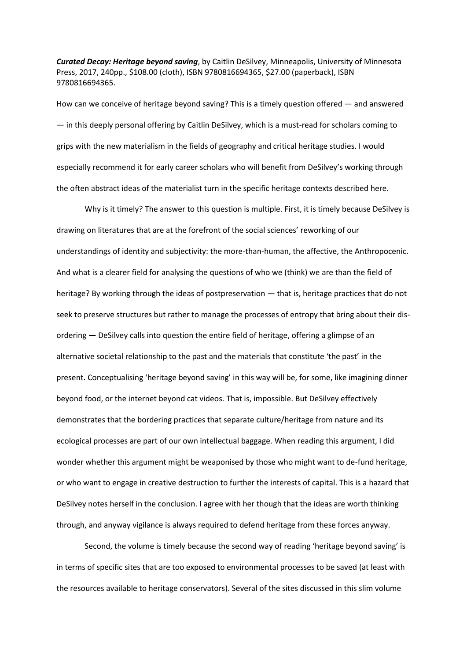*Curated Decay: Heritage beyond saving*, by Caitlin DeSilvey, Minneapolis, University of Minnesota Press, 2017, 240pp., \$108.00 (cloth), ISBN 9780816694365, \$27.00 (paperback), ISBN 9780816694365.

How can we conceive of heritage beyond saving? This is a timely question offered — and answered — in this deeply personal offering by Caitlin DeSilvey, which is a must-read for scholars coming to grips with the new materialism in the fields of geography and critical heritage studies. I would especially recommend it for early career scholars who will benefit from DeSilvey's working through the often abstract ideas of the materialist turn in the specific heritage contexts described here.

Why is it timely? The answer to this question is multiple. First, it is timely because DeSilvey is drawing on literatures that are at the forefront of the social sciences' reworking of our understandings of identity and subjectivity: the more-than-human, the affective, the Anthropocenic. And what is a clearer field for analysing the questions of who we (think) we are than the field of heritage? By working through the ideas of postpreservation — that is, heritage practices that do not seek to preserve structures but rather to manage the processes of entropy that bring about their disordering — DeSilvey calls into question the entire field of heritage, offering a glimpse of an alternative societal relationship to the past and the materials that constitute 'the past' in the present. Conceptualising 'heritage beyond saving' in this way will be, for some, like imagining dinner beyond food, or the internet beyond cat videos. That is, impossible. But DeSilvey effectively demonstrates that the bordering practices that separate culture/heritage from nature and its ecological processes are part of our own intellectual baggage. When reading this argument, I did wonder whether this argument might be weaponised by those who might want to de-fund heritage, or who want to engage in creative destruction to further the interests of capital. This is a hazard that DeSilvey notes herself in the conclusion. I agree with her though that the ideas are worth thinking through, and anyway vigilance is always required to defend heritage from these forces anyway.

Second, the volume is timely because the second way of reading 'heritage beyond saving' is in terms of specific sites that are too exposed to environmental processes to be saved (at least with the resources available to heritage conservators). Several of the sites discussed in this slim volume